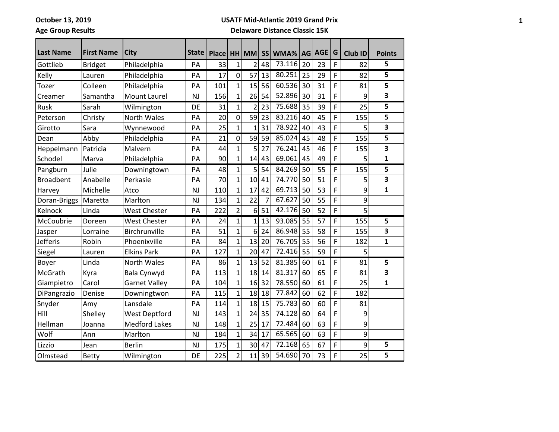### **USATF Mid-Atlantic 2019 Grand Prix**

# **Age Group Results**

## **Delaware Distance Classic 15K**

| <b>Last Name</b> | <b>First Name</b> | <b>City</b>          | State I   |       |                |                |                |        |           | <b>AGE</b> | G |                |                         |
|------------------|-------------------|----------------------|-----------|-------|----------------|----------------|----------------|--------|-----------|------------|---|----------------|-------------------------|
|                  |                   |                      |           | Place |                | HH MM          | <b>SS</b>      | WMA%   | <b>AG</b> |            |   | <b>Club ID</b> | <b>Points</b>           |
| Gottlieb         | <b>Bridget</b>    | Philadelphia         | PA        | 33    | $\mathbf{1}$   | $\overline{2}$ | 48             | 73.116 | 20        | 23         | F | 82             | 5                       |
| Kelly            | Lauren            | Philadelphia         | PA        | 17    | $\overline{0}$ | 57             | 13             | 80.251 | 25        | 29         | F | 82             | $\overline{\mathbf{5}}$ |
| Tozer            | Colleen           | Philadelphia         | PA        | 101   | $\mathbf{1}$   | 15             | 56             | 60.536 | 30        | 31         | F | 81             | 5                       |
| Creamer          | Samantha          | <b>Mount Laurel</b>  | <b>NJ</b> | 156   | $\overline{1}$ | 26             | 54             | 52.896 | 30        | 31         | F | 9              | 3                       |
| Rusk             | Sarah             | Wilmington           | DE        | 31    | $\mathbf 1$    | $\overline{2}$ | 23             | 75.688 | 35        | 39         | F | 25             | 5                       |
| Peterson         | Christy           | <b>North Wales</b>   | PA        | 20    | $\overline{0}$ | 59             | 23             | 83.216 | 40        | 45         | F | 155            | 5                       |
| Girotto          | Sara              | Wynnewood            | PA        | 25    | 1              | $\mathbf{1}$   | 31             | 78.922 | 40        | 43         | F | 5              | $\overline{\mathbf{3}}$ |
| Dean             | Abby              | Philadelphia         | PA        | 21    | 0              | 59             | 59             | 85.024 | 45        | 48         | F | 155            | 5                       |
| Heppelmann       | Patricia          | Malvern              | PA        | 44    | $\mathbf 1$    | 5              | 27             | 76.241 | 45        | 46         | F | 155            | 3                       |
| Schodel          | Marva             | Philadelphia         | PA        | 90    | $\overline{1}$ | 14             | 43             | 69.061 | 45        | 49         | F | 5              | $\mathbf{1}$            |
| Pangburn         | Julie             | Downingtown          | PA        | 48    | $\mathbf 1$    | 5              | 54             | 84.269 | 50        | 55         | F | 155            | 5                       |
| <b>Broadbent</b> | Anabelle          | Perkasie             | PA        | 70    | $\mathbf 1$    | 10             | 41             | 74.770 | 50        | 51         | F | 5              | 3                       |
| Harvey           | Michelle          | Atco                 | <b>NJ</b> | 110   | $\mathbf{1}$   | 17             | 42             | 69.713 | 50        | 53         | F | 9              | $\mathbf{1}$            |
| Doran-Briggs     | Maretta           | Marlton              | <b>NJ</b> | 134   | $\mathbf{1}$   | 22             | $\overline{7}$ | 67.627 | 50        | 55         | F | 9              |                         |
| Kelnock          | Linda             | <b>West Chester</b>  | PA        | 222   | $\overline{2}$ | 6              | 51             | 42.176 | 50        | 52         | F | 5              |                         |
| McCoubrie        | Doreen            | West Chester         | PA        | 24    | $\overline{1}$ | $\mathbf{1}$   | 13             | 93.085 | 55        | 57         | F | 155            | 5                       |
| Jasper           | Lorraine          | Birchrunville        | PA        | 51    | $\overline{1}$ | 6              | 24             | 86.948 | 55        | 58         | F | 155            | 3                       |
| <b>Jefferis</b>  | Robin             | Phoenixville         | PA        | 84    | $\overline{1}$ | 13             | 20             | 76.705 | 55        | 56         | F | 182            | $\mathbf{1}$            |
| Siegel           | Lauren            | <b>Elkins Park</b>   | PA        | 127   | $\mathbf{1}$   | 20             | 47             | 72.416 | 55        | 59         | F | 5              |                         |
| Boyer            | Linda             | <b>North Wales</b>   | PA        | 86    | $\mathbf 1$    | 13             | 52             | 81.385 | 60        | 61         | F | 81             | 5                       |
| McGrath          | Kyra              | Bala Cynwyd          | PA        | 113   | $\mathbf{1}$   | 18             | 14             | 81.317 | 60        | 65         | F | 81             | 3                       |
| Giampietro       | Carol             | <b>Garnet Valley</b> | PA        | 104   | $\overline{1}$ | 16             | 32             | 78.550 | 60        | 61         | F | 25             | $\mathbf{1}$            |
| DiPangrazio      | Denise            | Downingtwon          | PA        | 115   | $\overline{1}$ | 18             | 18             | 77.842 | 60        | 62         | F | 182            |                         |
| Snyder           | Amy               | Lansdale             | PA        | 114   | 1              | 18             | 15             | 75.783 | 60        | 60         | F | 81             |                         |
| Hill             | Shelley           | <b>West Deptford</b> | <b>NJ</b> | 143   | 1              | 24             | 35             | 74.128 | 60        | 64         | F | 9              |                         |
| Hellman          | Joanna            | <b>Medford Lakes</b> | <b>NJ</b> | 148   | 1              | 25             | 17             | 72.484 | 60        | 63         | F | 9              |                         |
| Wolf             | Ann               | Marlton              | <b>NJ</b> | 184   | $\mathbf{1}$   | 34             | 17             | 65.565 | 60        | 63         | F | 9              |                         |
| Lizzio           | Jean              | <b>Berlin</b>        | <b>NJ</b> | 175   | $\mathbf{1}$   | 30             | 47             | 72.168 | 65        | 67         | F | 9              | 5                       |
| Olmstead         | <b>Betty</b>      | Wilmington           | DE        | 225   | $\overline{2}$ | 11             | 39             | 54.690 | 70        | 73         | F | 25             | $\overline{5}$          |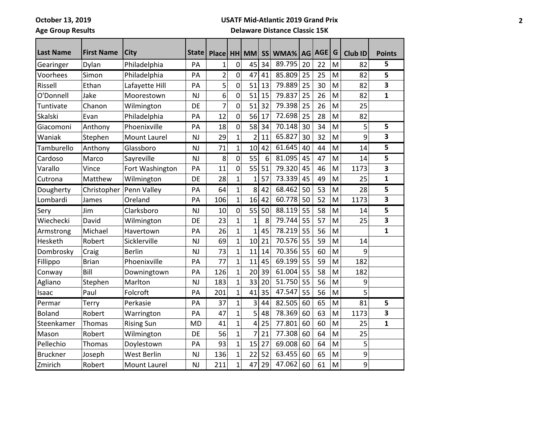#### **USATF Mid-Atlantic 2019 Grand Prix**

# **Age Group Results**

## **Delaware Distance Classic 15K**

| <b>Last Name</b> | <b>First Name</b> | <b>City</b>         | State     | <b>Place</b>            |                | HH MM          | <b>SS</b> | WMA%   | AG | <b>AGE</b> | G | Club ID | <b>Points</b> |
|------------------|-------------------|---------------------|-----------|-------------------------|----------------|----------------|-----------|--------|----|------------|---|---------|---------------|
| Gearinger        | Dylan             | Philadelphia        | PA        | 1                       | 0              | 45             | 34        | 89.795 | 20 | 22         | M | 82      | 5             |
| Voorhees         | Simon             | Philadelphia        | PA        | $\overline{\mathbf{c}}$ | $\mathbf 0$    | 47             | 41        | 85.809 | 25 | 25         | M | 82      | 5             |
| Rissell          | Ethan             | Lafayette Hill      | PA        | 5                       | 0              | 51             | 13        | 79.889 | 25 | 30         | M | 82      | 3             |
| O'Donnell        | Jake              | Moorestown          | <b>NJ</b> | 6                       | 0              | 51             | 15        | 79.837 | 25 | 26         | M | 82      | $\mathbf{1}$  |
| Tuntivate        | Chanon            | Wilmington          | DE        | 7                       | $\overline{0}$ | 51             | 32        | 79.398 | 25 | 26         | M | 25      |               |
| Skalski          | Evan              | Philadelphia        | PA        | 12                      | 0              | 56             | 17        | 72.698 | 25 | 28         | M | 82      |               |
| Giacomoni        | Anthony           | Phoenixville        | PA        | 18                      | 0              | 58             | 34        | 70.148 | 30 | 34         | M | 5       | 5             |
| Waniak           | Stephen           | <b>Mount Laurel</b> | <b>NJ</b> | 29                      | $\overline{1}$ | $\overline{2}$ | 11        | 65.827 | 30 | 32         | M | 9       | 3             |
| Tamburello       | Anthony           | Glassboro           | <b>NJ</b> | 71                      | $\mathbf{1}$   | 10             | 42        | 61.645 | 40 | 44         | M | 14      | 5             |
| Cardoso          | Marco             | Sayreville          | <b>NJ</b> | 8                       | $\mathbf 0$    | 55             | 6         | 81.095 | 45 | 47         | M | 14      | 5             |
| Varallo          | Vince             | Fort Washington     | PA        | 11                      | 0              | 55             | 51        | 79.320 | 45 | 46         | M | 1173    | 3             |
| Cutrona          | Matthew           | Wilmington          | DE        | 28                      | $\overline{1}$ | 1              | 57        | 73.339 | 45 | 49         | M | 25      | $\mathbf{1}$  |
| Dougherty        | Christopher       | Penn Valley         | PA        | 64                      | $\overline{1}$ | 8              | 42        | 68.462 | 50 | 53         | M | 28      | 5             |
| Lombardi         | James             | Oreland             | PA        | 106                     | $\mathbf 1$    | 16             | 42        | 60.778 | 50 | 52         | M | 1173    | 3             |
| Sery             | Jim               | Clarksboro          | <b>NJ</b> | 10                      | 0              | 55             | 50        | 88.119 | 55 | 58         | M | 14      | 5             |
| Wiechecki        | David             | Wilmington          | DE        | 23                      | $\overline{1}$ | $\mathbf 1$    | 8         | 79.744 | 55 | 57         | M | 25      | 3             |
| Armstrong        | Michael           | Havertown           | PA        | 26                      | $\overline{1}$ | 1              | 45        | 78.219 | 55 | 56         | M |         | $\mathbf{1}$  |
| Hesketh          | Robert            | Sicklerville        | <b>NJ</b> | 69                      | $\overline{1}$ | 10             | 21        | 70.576 | 55 | 59         | M | 14      |               |
| Dombrosky        | Craig             | <b>Berlin</b>       | <b>NJ</b> | 73                      | $\mathbf 1$    | 11             | 14        | 70.356 | 55 | 60         | M | 9       |               |
| Fillippo         | <b>Brian</b>      | Phoenixville        | PA        | 77                      | $\overline{1}$ | 11             | 45        | 69.199 | 55 | 59         | M | 182     |               |
| Conway           | Bill              | Downingtown         | PA        | 126                     | $\overline{1}$ | 20             | 39        | 61.004 | 55 | 58         | M | 182     |               |
| Agliano          | Stephen           | Marlton             | <b>NJ</b> | 183                     | $\overline{1}$ | 33             | 20        | 51.750 | 55 | 56         | M | 9       |               |
| Isaac            | Paul              | Folcroft            | PA        | 201                     | $\overline{1}$ | 41             | 35        | 47.547 | 55 | 56         | M | 5       |               |
| Permar           | Terry             | Perkasie            | PA        | 37                      | $\mathbf 1$    | 3              | 44        | 82.505 | 60 | 65         | M | 81      | 5             |
| <b>Boland</b>    | Robert            | Warrington          | PA        | 47                      | $\overline{1}$ | 5              | 48        | 78.369 | 60 | 63         | M | 1173    | 3             |
| Steenkamer       | Thomas            | <b>Rising Sun</b>   | <b>MD</b> | 41                      | $\overline{1}$ | 4              | 25        | 77.801 | 60 | 60         | M | 25      | $\mathbf{1}$  |
| Mason            | Robert            | Wilmington          | DE        | 56                      | $\overline{1}$ | 7              | 21        | 77.308 | 60 | 64         | M | 25      |               |
| Pellechio        | Thomas            | Doylestown          | PA        | 93                      | $\overline{1}$ | 15             | 27        | 69.008 | 60 | 64         | M | 5       |               |
| <b>Bruckner</b>  | Joseph            | West Berlin         | <b>NJ</b> | 136                     | $\overline{1}$ | 22             | 52        | 63.455 | 60 | 65         | M | 9       |               |
| Zmirich          | Robert            | <b>Mount Laurel</b> | <b>NJ</b> | 211                     | $\overline{1}$ | 47             | 29        | 47.062 | 60 | 61         | M | 9       |               |